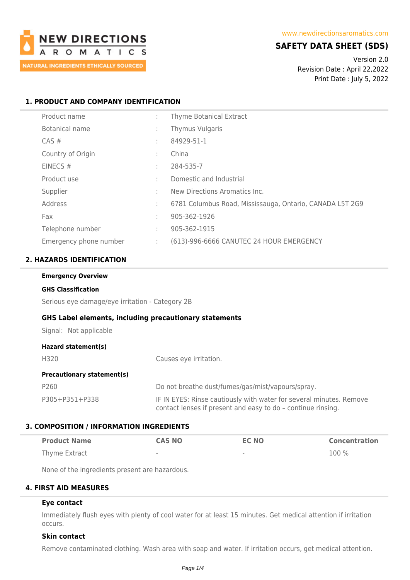

# **SAFETY DATA SHEET (SDS)**

Version 2.0 Revision Date : April 22,2022 Print Date : July 5, 2022

### **1. PRODUCT AND COMPANY IDENTIFICATION**

| Product name           | ÷ | Thyme Botanical Extract                                  |
|------------------------|---|----------------------------------------------------------|
| Botanical name         | ٠ | Thymus Vulgaris                                          |
| $CAS \#$               | ٠ | 84929-51-1                                               |
| Country of Origin      | ٠ | China                                                    |
| EINECS $#$             | ٠ | 284-535-7                                                |
| Product use            | ٠ | Domestic and Industrial                                  |
| Supplier               | ٠ | New Directions Aromatics Inc.                            |
| Address                | ÷ | 6781 Columbus Road, Mississauga, Ontario, CANADA L5T 2G9 |
| Fax                    | ٠ | 905-362-1926                                             |
| Telephone number       | ÷ | 905-362-1915                                             |
| Emergency phone number | ÷ | (613)-996-6666 CANUTEC 24 HOUR EMERGENCY                 |

### **2. HAZARDS IDENTIFICATION**

| <b>Emergency Overview</b>                                     |                                                                                                                                     |  |  |  |
|---------------------------------------------------------------|-------------------------------------------------------------------------------------------------------------------------------------|--|--|--|
| <b>GHS Classification</b>                                     |                                                                                                                                     |  |  |  |
| Serious eye damage/eye irritation - Category 2B               |                                                                                                                                     |  |  |  |
| <b>GHS Label elements, including precautionary statements</b> |                                                                                                                                     |  |  |  |
| Signal: Not applicable                                        |                                                                                                                                     |  |  |  |
| Hazard statement(s)                                           |                                                                                                                                     |  |  |  |
| H320                                                          | Causes eye irritation.                                                                                                              |  |  |  |
| <b>Precautionary statement(s)</b>                             |                                                                                                                                     |  |  |  |
| P260                                                          | Do not breathe dust/fumes/gas/mist/vapours/spray.                                                                                   |  |  |  |
| P305+P351+P338                                                | IF IN EYES: Rinse cautiously with water for several minutes. Remove<br>contact lenses if present and easy to do - continue rinsing. |  |  |  |

### **3. COMPOSITION / INFORMATION INGREDIENTS**

| <b>Product Name</b> | <b>CAS NO</b> | <b>EC NO</b> | <b>Concentration</b> |
|---------------------|---------------|--------------|----------------------|
| Thyme Extract       | $\sim$        | $\,$         | $100\%$              |

None of the ingredients present are hazardous.

### **4. FIRST AID MEASURES**

# **Eye contact**

Immediately flush eyes with plenty of cool water for at least 15 minutes. Get medical attention if irritation occurs.

### **Skin contact**

Remove contaminated clothing. Wash area with soap and water. If irritation occurs, get medical attention.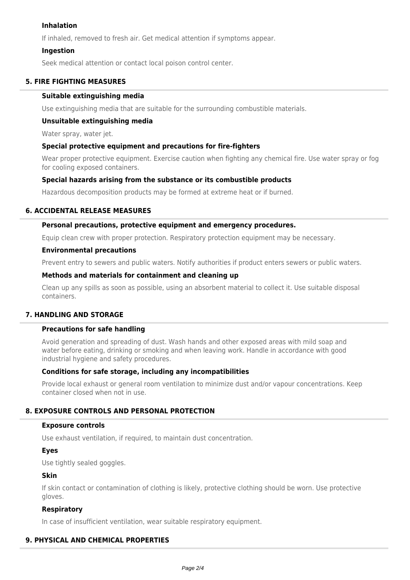### **Inhalation**

If inhaled, removed to fresh air. Get medical attention if symptoms appear.

### **Ingestion**

Seek medical attention or contact local poison control center.

### **5. FIRE FIGHTING MEASURES**

### **Suitable extinguishing media**

Use extinguishing media that are suitable for the surrounding combustible materials.

### **Unsuitable extinguishing media**

Water spray, water jet.

### **Special protective equipment and precautions for fire-fighters**

Wear proper protective equipment. Exercise caution when fighting any chemical fire. Use water spray or fog for cooling exposed containers.

### **Special hazards arising from the substance or its combustible products**

Hazardous decomposition products may be formed at extreme heat or if burned.

### **6. ACCIDENTAL RELEASE MEASURES**

### **Personal precautions, protective equipment and emergency procedures.**

Equip clean crew with proper protection. Respiratory protection equipment may be necessary.

#### **Environmental precautions**

Prevent entry to sewers and public waters. Notify authorities if product enters sewers or public waters.

### **Methods and materials for containment and cleaning up**

Clean up any spills as soon as possible, using an absorbent material to collect it. Use suitable disposal containers.

### **7. HANDLING AND STORAGE**

### **Precautions for safe handling**

Avoid generation and spreading of dust. Wash hands and other exposed areas with mild soap and water before eating, drinking or smoking and when leaving work. Handle in accordance with good industrial hygiene and safety procedures.

### **Conditions for safe storage, including any incompatibilities**

Provide local exhaust or general room ventilation to minimize dust and/or vapour concentrations. Keep container closed when not in use.

### **8. EXPOSURE CONTROLS AND PERSONAL PROTECTION**

### **Exposure controls**

Use exhaust ventilation, if required, to maintain dust concentration.

### **Eyes**

Use tightly sealed goggles.

### **Skin**

If skin contact or contamination of clothing is likely, protective clothing should be worn. Use protective gloves.

### **Respiratory**

In case of insufficient ventilation, wear suitable respiratory equipment.

### **9. PHYSICAL AND CHEMICAL PROPERTIES**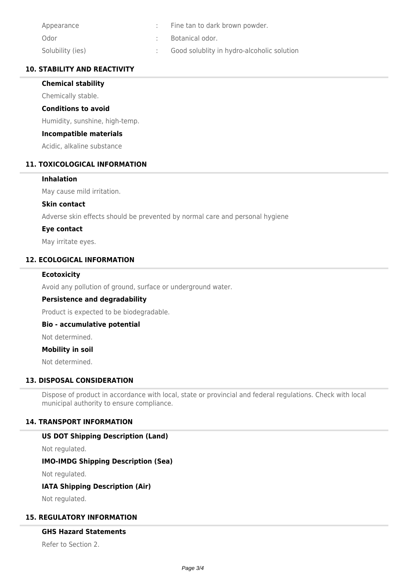| Appearance       | Fine tan to dark brown powder.             |
|------------------|--------------------------------------------|
| Odor             | Botanical odor.                            |
| Solubility (ies) | Good solublity in hydro-alcoholic solution |

### **10. STABILITY AND REACTIVITY**

### **Chemical stability**

Chemically stable.

### **Conditions to avoid**

Humidity, sunshine, high-temp.

### **Incompatible materials**

Acidic, alkaline substance

### **11. TOXICOLOGICAL INFORMATION**

### **Inhalation**

May cause mild irritation.

### **Skin contact**

Adverse skin effects should be prevented by normal care and personal hygiene

### **Eye contact**

May irritate eyes.

### **12. ECOLOGICAL INFORMATION**

### **Ecotoxicity**

Avoid any pollution of ground, surface or underground water.

### **Persistence and degradability**

Product is expected to be biodegradable.

### **Bio - accumulative potential**

Not determined.

### **Mobility in soil**

Not determined.

### **13. DISPOSAL CONSIDERATION**

Dispose of product in accordance with local, state or provincial and federal regulations. Check with local municipal authority to ensure compliance.

### **14. TRANSPORT INFORMATION**

### **US DOT Shipping Description (Land)**

Not regulated.

### **IMO-IMDG Shipping Description (Sea)**

Not regulated.

# **IATA Shipping Description (Air)**

Not regulated.

### **15. REGULATORY INFORMATION**

### **GHS Hazard Statements**

Refer to Section 2.